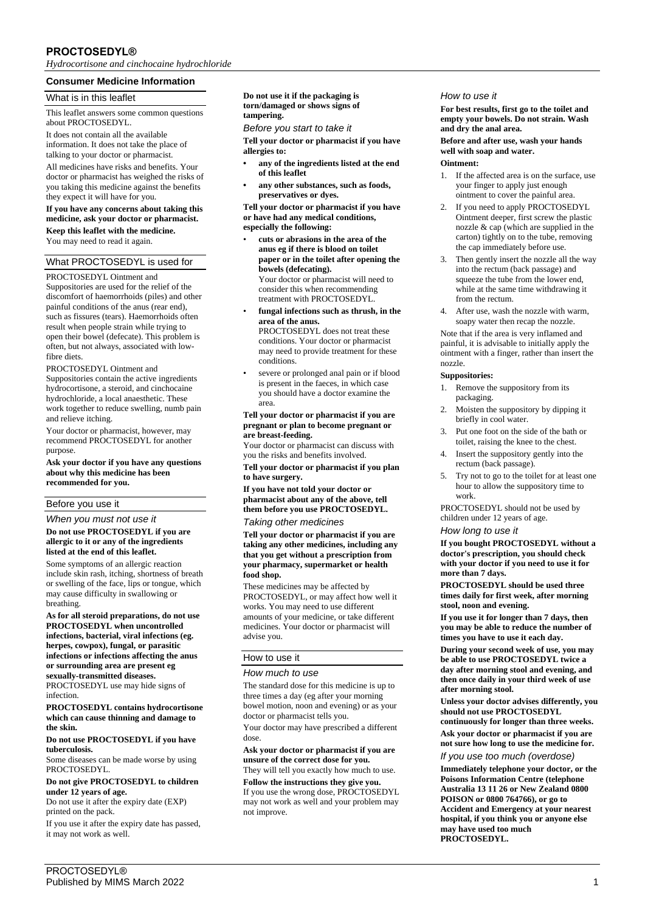# **PROCTOSEDYL®**

*Hydrocortisone and cinchocaine hydrochloride*

## **Consumer Medicine Information**

#### What is in this leaflet

This leaflet answers some common questions about PROCTOSEDYL.

It does not contain all the available information. It does not take the place of talking to your doctor or pharmacist.

All medicines have risks and benefits. Your doctor or pharmacist has weighed the risks of you taking this medicine against the benefits they expect it will have for you.

#### **If you have any concerns about taking this medicine, ask your doctor or pharmacist. Keep this leaflet with the medicine.**

You may need to read it again.

### What PROCTOSEDYL is used for

PROCTOSEDYL Ointment and

Suppositories are used for the relief of the discomfort of haemorrhoids (piles) and other painful conditions of the anus (rear end), such as fissures (tears). Haemorrhoids often result when people strain while trying to open their bowel (defecate). This problem is often, but not always, associated with lowfibre diets.

PROCTOSEDYL Ointment and Suppositories contain the active ingredients hydrocortisone, a steroid, and cinchocaine hydrochloride, a local anaesthetic. These work together to reduce swelling, numb pain and relieve itching.

Your doctor or pharmacist, however, may recommend PROCTOSEDYL for another purpose.

**Ask your doctor if you have any questions about why this medicine has been recommended for you.**

## Before you use it

*When you must not use it* **Do not use PROCTOSEDYL if you are allergic to it or any of the ingredients listed at the end of this leaflet.**

Some symptoms of an allergic reaction include skin rash, itching, shortness of breath or swelling of the face, lips or tongue, which may cause difficulty in swallowing or breathing.

**As for all steroid preparations, do not use PROCTOSEDYL when uncontrolled infections, bacterial, viral infections (eg. herpes, cowpox), fungal, or parasitic infections or infections affecting the anus or surrounding area are present eg sexually-transmitted diseases.** PROCTOSEDYL use may hide signs of infection.

**PROCTOSEDYL contains hydrocortisone which can cause thinning and damage to the skin.**

#### **Do not use PROCTOSEDYL if you have tuberculosis.**

Some diseases can be made worse by using **PROCTOSEDYL** 

**Do not give PROCTOSEDYL to children under 12 years of age.**

Do not use it after the expiry date (EXP) printed on the pack.

If you use it after the expiry date has passed, it may not work as well.

**Do not use it if the packaging is torn/damaged or shows signs of tampering.**

*Before you start to take it*

**Tell your doctor or pharmacist if you have allergies to:**

- **• any of the ingredients listed at the end of this leaflet**
- **• any other substances, such as foods, preservatives or dyes.**

**Tell your doctor or pharmacist if you have or have had any medical conditions, especially the following:**

- **cuts or abrasions in the area of the anus eg if there is blood on toilet paper or in the toilet after opening the bowels (defecating).** Your doctor or pharmacist will need to consider this when recommending treatment with PROCTOSEDYL.
- **fungal infections such as thrush, in the area of the anus.** PROCTOSEDYL does not treat these conditions. Your doctor or pharmacist may need to provide treatment for these
- conditions. severe or prolonged anal pain or if blood is present in the faeces, in which case you should have a doctor examine the area.

#### **Tell your doctor or pharmacist if you are pregnant or plan to become pregnant or are breast-feeding.**

Your doctor or pharmacist can discuss with you the risks and benefits involved.

**Tell your doctor or pharmacist if you plan to have surgery.**

**If you have not told your doctor or pharmacist about any of the above, tell them before you use PROCTOSEDYL.**

*Taking other medicines*

**Tell your doctor or pharmacist if you are taking any other medicines, including any that you get without a prescription from your pharmacy, supermarket or health food shop.**

These medicines may be affected by PROCTOSEDYL, or may affect how well it works. You may need to use different amounts of your medicine, or take different medicines. Your doctor or pharmacist will advise you.

## How to use it

#### *How much to use*

The standard dose for this medicine is up to three times a day (eg after your morning bowel motion, noon and evening) or as your doctor or pharmacist tells you.

Your doctor may have prescribed a different dose.

**Ask your doctor or pharmacist if you are unsure of the correct dose for you.** They will tell you exactly how much to use.

**Follow the instructions they give you.** If you use the wrong dose, PROCTOSEDYL may not work as well and your problem may not improve.

#### *How to use it*

**For best results, first go to the toilet and empty your bowels. Do not strain. Wash and dry the anal area.**

**Before and after use, wash your hands well with soap and water. Ointment:**

- 1. If the affected area is on the surface, use your finger to apply just enough ointment to cover the painful area.
- 2. If you need to apply PROCTOSEDYL Ointment deeper, first screw the plastic nozzle & cap (which are supplied in the carton) tightly on to the tube, removing the cap immediately before use.
- 3. Then gently insert the nozzle all the way into the rectum (back passage) and squeeze the tube from the lower end, while at the same time withdrawing it from the rectum.
- 4. After use, wash the nozzle with warm, soapy water then recap the nozzle.

Note that if the area is very inflamed and painful, it is advisable to initially apply the ointment with a finger, rather than insert the nozzle.

## **Suppositories:**

- 1. Remove the suppository from its packaging.
- 2. Moisten the suppository by dipping it briefly in cool water.
- 3. Put one foot on the side of the bath or toilet, raising the knee to the chest.
- 4. Insert the suppository gently into the rectum (back passage).
- 5. Try not to go to the toilet for at least one hour to allow the suppository time to work.

PROCTOSEDYL should not be used by children under 12 years of age.

#### *How long to use it*

**If you bought PROCTOSEDYL without a doctor's prescription, you should check with your doctor if you need to use it for more than 7 days.**

**PROCTOSEDYL should be used three times daily for first week, after morning stool, noon and evening.**

**If you use it for longer than 7 days, then you may be able to reduce the number of times you have to use it each day.**

**During your second week of use, you may be able to use PROCTOSEDYL twice a day after morning stool and evening, and then once daily in your third week of use after morning stool.**

**Unless your doctor advises differently, you should not use PROCTOSEDYL** 

**continuously for longer than three weeks. Ask your doctor or pharmacist if you are not sure how long to use the medicine for.**

*If you use too much (overdose)*

**Immediately telephone your doctor, or the Poisons Information Centre (telephone Australia 13 11 26 or New Zealand 0800 POISON or 0800 764766), or go to Accident and Emergency at your nearest hospital, if you think you or anyone else may have used too much PROCTOSEDYL.**